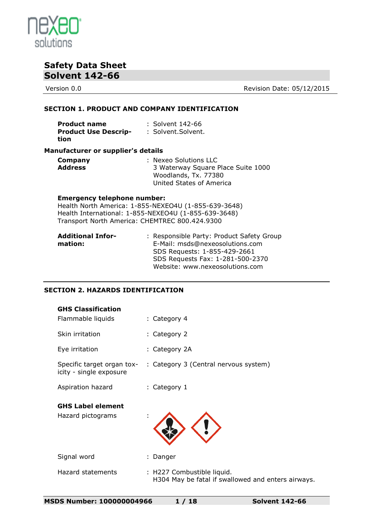

Version 0.0 **Version 0.0** Revision Date: 05/12/2015

#### **SECTION 1. PRODUCT AND COMPANY IDENTIFICATION**

| <b>Product name</b>         | : Solvent 142-66   |
|-----------------------------|--------------------|
| <b>Product Use Descrip-</b> | : Solvent.Solvent. |
| tion                        |                    |

#### **Manufacturer or supplier's details**

| Company        | : Nexeo Solutions LLC              |
|----------------|------------------------------------|
| <b>Address</b> | 3 Waterway Square Place Suite 1000 |
|                | Woodlands, Tx. 77380               |
|                | United States of America           |

#### **Emergency telephone number:**

Health North America: 1-855-NEXEO4U (1-855-639-3648) Health International: 1-855-NEXEO4U (1-855-639-3648) Transport North America: CHEMTREC 800.424.9300

| <b>Additional Infor-</b> | : Responsible Party: Product Safety Group |
|--------------------------|-------------------------------------------|
| mation:                  | E-Mail: msds@nexeosolutions.com           |
|                          | SDS Requests: 1-855-429-2661              |
|                          | SDS Requests Fax: 1-281-500-2370          |
|                          | Website: www.nexeosolutions.com           |

#### **SECTION 2. HAZARDS IDENTIFICATION**

| <b>GHS Classification</b>                             |                                       |
|-------------------------------------------------------|---------------------------------------|
| Flammable liquids                                     | : Category 4                          |
| Skin irritation                                       | : Category 2                          |
| Eye irritation                                        | : Category 2A                         |
| Specific target organ tox-<br>icity - single exposure | : Category 3 (Central nervous system) |
| Aspiration hazard                                     | : Category 1                          |
| <b>GHS Label element</b><br>Hazard pictograms         | $\blacksquare$                        |
| Signal word                                           | Danger                                |
| Hazard statements                                     | : H227 Combustible liquid.            |

H304 May be fatal if swallowed and enters airways.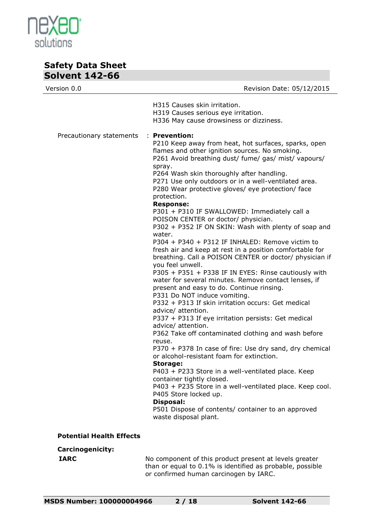

| Version 0.0                     | Revision Date: 05/12/2015                                                                                                                                                                                                                                                                                                                                                                                                                                                                                                                                                                                                                                                                                                                                                                                                                                                                                                                                                                                                                                                                                                                                                                                                                                                                                                                                                                                                                                                                                                                                             |
|---------------------------------|-----------------------------------------------------------------------------------------------------------------------------------------------------------------------------------------------------------------------------------------------------------------------------------------------------------------------------------------------------------------------------------------------------------------------------------------------------------------------------------------------------------------------------------------------------------------------------------------------------------------------------------------------------------------------------------------------------------------------------------------------------------------------------------------------------------------------------------------------------------------------------------------------------------------------------------------------------------------------------------------------------------------------------------------------------------------------------------------------------------------------------------------------------------------------------------------------------------------------------------------------------------------------------------------------------------------------------------------------------------------------------------------------------------------------------------------------------------------------------------------------------------------------------------------------------------------------|
|                                 | H315 Causes skin irritation.<br>H319 Causes serious eye irritation.<br>H336 May cause drowsiness or dizziness.                                                                                                                                                                                                                                                                                                                                                                                                                                                                                                                                                                                                                                                                                                                                                                                                                                                                                                                                                                                                                                                                                                                                                                                                                                                                                                                                                                                                                                                        |
| Precautionary statements        | $:$ Prevention:<br>P210 Keep away from heat, hot surfaces, sparks, open<br>flames and other ignition sources. No smoking.<br>P261 Avoid breathing dust/ fume/ gas/ mist/ vapours/<br>spray.<br>P264 Wash skin thoroughly after handling.<br>P271 Use only outdoors or in a well-ventilated area.<br>P280 Wear protective gloves/ eye protection/ face<br>protection.<br><b>Response:</b><br>P301 + P310 IF SWALLOWED: Immediately call a<br>POISON CENTER or doctor/ physician.<br>P302 + P352 IF ON SKIN: Wash with plenty of soap and<br>water.<br>P304 + P340 + P312 IF INHALED: Remove victim to<br>fresh air and keep at rest in a position comfortable for<br>breathing. Call a POISON CENTER or doctor/ physician if<br>you feel unwell.<br>P305 + P351 + P338 IF IN EYES: Rinse cautiously with<br>water for several minutes. Remove contact lenses, if<br>present and easy to do. Continue rinsing.<br>P331 Do NOT induce vomiting.<br>P332 + P313 If skin irritation occurs: Get medical<br>advice/ attention.<br>P337 + P313 If eye irritation persists: Get medical<br>advice/ attention.<br>P362 Take off contaminated clothing and wash before<br>reuse.<br>P370 + P378 In case of fire: Use dry sand, dry chemical<br>or alcohol-resistant foam for extinction.<br><b>Storage:</b><br>P403 + P233 Store in a well-ventilated place. Keep<br>container tightly closed.<br>P403 + P235 Store in a well-ventilated place. Keep cool.<br>P405 Store locked up.<br>Disposal:<br>P501 Dispose of contents/ container to an approved<br>waste disposal plant. |
| <b>Potential Health Effects</b> |                                                                                                                                                                                                                                                                                                                                                                                                                                                                                                                                                                                                                                                                                                                                                                                                                                                                                                                                                                                                                                                                                                                                                                                                                                                                                                                                                                                                                                                                                                                                                                       |
| <b>Carcinogenicity:</b>         |                                                                                                                                                                                                                                                                                                                                                                                                                                                                                                                                                                                                                                                                                                                                                                                                                                                                                                                                                                                                                                                                                                                                                                                                                                                                                                                                                                                                                                                                                                                                                                       |

**IARC** No component of this product present at levels greater than or equal to 0.1% is identified as probable, possible or confirmed human carcinogen by IARC.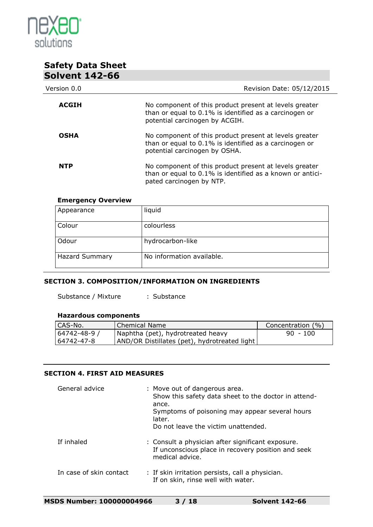

| 20IVENT 142-00 |                                                                                                                                                    |
|----------------|----------------------------------------------------------------------------------------------------------------------------------------------------|
| Version 0.0    | Revision Date: 05/12/2015                                                                                                                          |
| <b>ACGIH</b>   | No component of this product present at levels greater<br>than or equal to 0.1% is identified as a carcinogen or<br>potential carcinogen by ACGIH. |
| <b>OSHA</b>    | No component of this product present at levels greater<br>than or equal to 0.1% is identified as a carcinogen or<br>potential carcinogen by OSHA.  |
| <b>NTP</b>     | No component of this product present at levels greater<br>than or equal to 0.1% is identified as a known or antici-<br>pated carcinogen by NTP.    |

#### **Emergency Overview**

| Appearance            | liquid                    |
|-----------------------|---------------------------|
| Colour                | colourless                |
| Odour                 | hydrocarbon-like          |
| <b>Hazard Summary</b> | No information available. |

#### **SECTION 3. COMPOSITION/INFORMATION ON INGREDIENTS**

Substance / Mixture : Substance

#### **Hazardous components**

| CAS-No.      | Chemical Name                                | Concentration (%) |
|--------------|----------------------------------------------|-------------------|
| 64742-48-9 7 | Naphtha (pet), hydrotreated heavy            | $90 - 100$        |
| 64742-47-8   | AND/OR Distillates (pet), hydrotreated light |                   |

#### **SECTION 4. FIRST AID MEASURES**

| General advice          | : Move out of dangerous area.<br>Show this safety data sheet to the doctor in attend-<br>ance.<br>Symptoms of poisoning may appear several hours<br>later.<br>Do not leave the victim unattended. |
|-------------------------|---------------------------------------------------------------------------------------------------------------------------------------------------------------------------------------------------|
| If inhaled              | : Consult a physician after significant exposure.<br>If unconscious place in recovery position and seek<br>medical advice.                                                                        |
| In case of skin contact | : If skin irritation persists, call a physician.<br>If on skin, rinse well with water.                                                                                                            |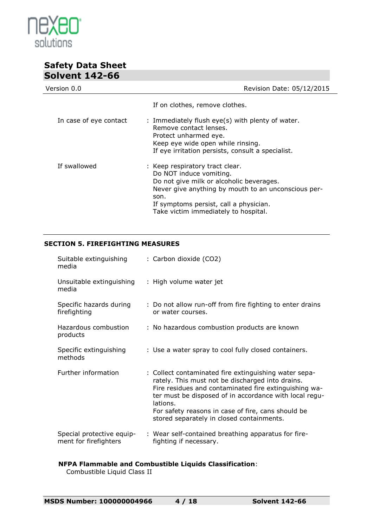

| 20IVENT 142-00         |                                                                                                                                                                                                                                                         |
|------------------------|---------------------------------------------------------------------------------------------------------------------------------------------------------------------------------------------------------------------------------------------------------|
| Version 0.0            | Revision Date: 05/12/2015                                                                                                                                                                                                                               |
|                        | If on clothes, remove clothes.                                                                                                                                                                                                                          |
| In case of eye contact | : Immediately flush eye(s) with plenty of water.<br>Remove contact lenses.<br>Protect unharmed eye.<br>Keep eye wide open while rinsing.<br>If eye irritation persists, consult a specialist.                                                           |
| If swallowed           | : Keep respiratory tract clear.<br>Do NOT induce vomiting.<br>Do not give milk or alcoholic beverages.<br>Never give anything by mouth to an unconscious per-<br>son.<br>If symptoms persist, call a physician.<br>Take victim immediately to hospital. |

#### **SECTION 5. FIREFIGHTING MEASURES**

| Suitable extinguishing<br>media                    | : Carbon dioxide (CO2)                                                                                                                                                                                                                                                                                                                      |
|----------------------------------------------------|---------------------------------------------------------------------------------------------------------------------------------------------------------------------------------------------------------------------------------------------------------------------------------------------------------------------------------------------|
| Unsuitable extinguishing<br>media                  | : High volume water jet                                                                                                                                                                                                                                                                                                                     |
| Specific hazards during<br>firefighting            | : Do not allow run-off from fire fighting to enter drains<br>or water courses.                                                                                                                                                                                                                                                              |
| Hazardous combustion<br>products                   | : No hazardous combustion products are known                                                                                                                                                                                                                                                                                                |
| Specific extinguishing<br>methods                  | : Use a water spray to cool fully closed containers.                                                                                                                                                                                                                                                                                        |
| Further information                                | : Collect contaminated fire extinguishing water sepa-<br>rately. This must not be discharged into drains.<br>Fire residues and contaminated fire extinguishing wa-<br>ter must be disposed of in accordance with local regu-<br>lations.<br>For safety reasons in case of fire, cans should be<br>stored separately in closed containments. |
| Special protective equip-<br>ment for firefighters | : Wear self-contained breathing apparatus for fire-<br>fighting if necessary.                                                                                                                                                                                                                                                               |

#### **NFPA Flammable and Combustible Liquids Classification**:

Combustible Liquid Class II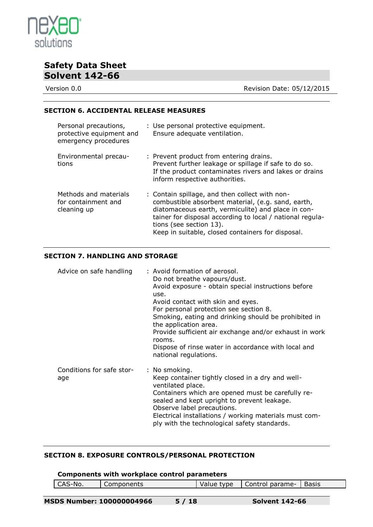

Version 0.0 **Version 0.0** Revision Date: 05/12/2015

#### **SECTION 6. ACCIDENTAL RELEASE MEASURES**

| Personal precautions,<br>protective equipment and<br>emergency procedures | : Use personal protective equipment.<br>Ensure adequate ventilation.                                                                                                                                                                                                                                    |
|---------------------------------------------------------------------------|---------------------------------------------------------------------------------------------------------------------------------------------------------------------------------------------------------------------------------------------------------------------------------------------------------|
| Environmental precau-<br>tions                                            | : Prevent product from entering drains.<br>Prevent further leakage or spillage if safe to do so.<br>If the product contaminates rivers and lakes or drains<br>inform respective authorities.                                                                                                            |
| Methods and materials<br>for containment and<br>cleaning up               | : Contain spillage, and then collect with non-<br>combustible absorbent material, (e.g. sand, earth,<br>diatomaceous earth, vermiculite) and place in con-<br>tainer for disposal according to local / national regula-<br>tions (see section 13).<br>Keep in suitable, closed containers for disposal. |

#### **SECTION 7. HANDLING AND STORAGE**

| Advice on safe handling          | : Avoid formation of aerosol.<br>Do not breathe vapours/dust.<br>Avoid exposure - obtain special instructions before<br>use.<br>Avoid contact with skin and eyes.<br>For personal protection see section 8.<br>Smoking, eating and drinking should be prohibited in<br>the application area.<br>Provide sufficient air exchange and/or exhaust in work<br>rooms.<br>Dispose of rinse water in accordance with local and<br>national regulations. |
|----------------------------------|--------------------------------------------------------------------------------------------------------------------------------------------------------------------------------------------------------------------------------------------------------------------------------------------------------------------------------------------------------------------------------------------------------------------------------------------------|
| Conditions for safe stor-<br>age | : No smoking.<br>Keep container tightly closed in a dry and well-<br>ventilated place.<br>Containers which are opened must be carefully re-<br>sealed and kept upright to prevent leakage.<br>Observe label precautions.<br>Electrical installations / working materials must com-<br>ply with the technological safety standards.                                                                                                               |

#### **SECTION 8. EXPOSURE CONTROLS/PERSONAL PROTECTION**

#### **Components with workplace control parameters**

| CAS-No. | Components | Value type | Control parame- | Basis |
|---------|------------|------------|-----------------|-------|
|         |            |            |                 |       |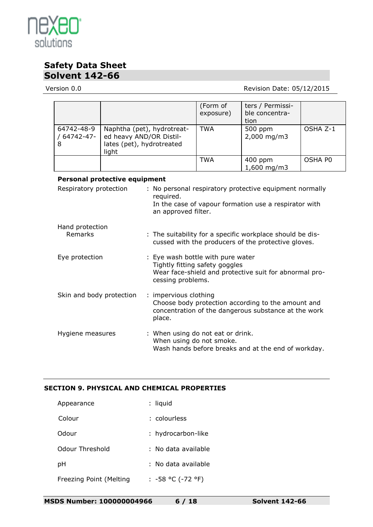

#### Version 0.0 **New Search 2018** Revision Date: 05/12/2015

|                                                                          |                                                                                             |                                                                                                                  |                                                                                                                                               | (Form of<br>exposure)  | ters / Permissi-<br>ble concentra-<br>tion |         |
|--------------------------------------------------------------------------|---------------------------------------------------------------------------------------------|------------------------------------------------------------------------------------------------------------------|-----------------------------------------------------------------------------------------------------------------------------------------------|------------------------|--------------------------------------------|---------|
| 64742-48-9<br>/ 64742-47-<br>8                                           | Naphtha (pet), hydrotreat-<br>ed heavy AND/OR Distil-<br>lates (pet), hydrotreated<br>light |                                                                                                                  | <b>TWA</b>                                                                                                                                    | 500 ppm<br>2,000 mg/m3 | OSHA Z-1                                   |         |
|                                                                          |                                                                                             |                                                                                                                  |                                                                                                                                               | <b>TWA</b>             | 400 ppm<br>1,600 mg/m3                     | OSHA P0 |
|                                                                          | <b>Personal protective equipment</b>                                                        |                                                                                                                  |                                                                                                                                               |                        |                                            |         |
| Respiratory protection<br>required.<br>an approved filter.               |                                                                                             |                                                                                                                  | : No personal respiratory protective equipment normally<br>In the case of vapour formation use a respirator with                              |                        |                                            |         |
| Hand protection<br>Remarks                                               |                                                                                             | : The suitability for a specific workplace should be dis-<br>cussed with the producers of the protective gloves. |                                                                                                                                               |                        |                                            |         |
| : Eye wash bottle with pure water<br>Eye protection<br>cessing problems. |                                                                                             | Tightly fitting safety goggles                                                                                   | Wear face-shield and protective suit for abnormal pro-                                                                                        |                        |                                            |         |
| Skin and body protection                                                 |                                                                                             |                                                                                                                  | : impervious clothing<br>Choose body protection according to the amount and<br>concentration of the dangerous substance at the work<br>place. |                        |                                            |         |
| Hygiene measures                                                         |                                                                                             | : When using do not eat or drink.<br>When using do not smoke.                                                    |                                                                                                                                               |                        |                                            |         |

Wash hands before breaks and at the end of workday.

### **SECTION 9. PHYSICAL AND CHEMICAL PROPERTIES**

| Appearance              | : liquid            |
|-------------------------|---------------------|
| Colour                  | : colourless        |
| Odour                   | : hydrocarbon-like  |
| Odour Threshold         | : No data available |
| рH                      | : No data available |
| Freezing Point (Melting | : -58 °C (-72 °F)   |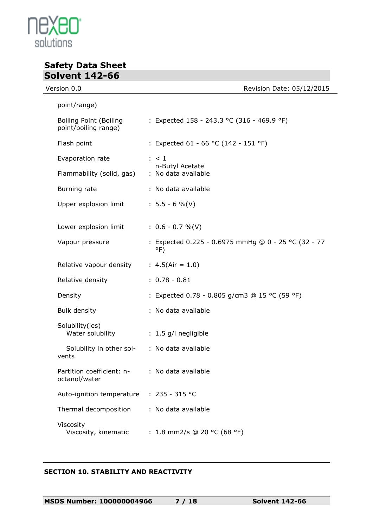

# **Safety Data Sheet Solvent 142-66**<br>Version 0.0

| ersion 0.0                                            | Revision Date: 05/12/2015                                            |
|-------------------------------------------------------|----------------------------------------------------------------------|
| point/range)                                          |                                                                      |
| <b>Boiling Point (Boiling</b><br>point/boiling range) | : Expected 158 - 243.3 °C (316 - 469.9 °F)                           |
| Flash point                                           | : Expected 61 - 66 °C (142 - 151 °F)                                 |
| Evaporation rate                                      | $\therefore$ < 1                                                     |
| Flammability (solid, gas)                             | n-Butyl Acetate<br>: No data available                               |
| Burning rate                                          | : No data available                                                  |
| Upper explosion limit                                 | $: 5.5 - 6 %$ (V)                                                    |
| Lower explosion limit                                 | $: 0.6 - 0.7 %$ (V)                                                  |
| Vapour pressure                                       | : Expected 0.225 - 0.6975 mmHg @ 0 - 25 °C (32 - 77<br>$^{\circ}$ F) |
| Relative vapour density                               | : $4.5(Air = 1.0)$                                                   |
| Relative density                                      | $: 0.78 - 0.81$                                                      |
| Density                                               | : Expected 0.78 - 0.805 g/cm3 @ 15 °C (59 °F)                        |
| <b>Bulk density</b>                                   | : No data available                                                  |
| Solubility(ies)<br>Water solubility                   | : 1.5 g/l negligible                                                 |
| Solubility in other sol-<br>vents                     | : No data available                                                  |
| Partition coefficient: n-<br>octanol/water            | : No data available                                                  |
| Auto-ignition temperature                             | $: 235 - 315 °C$                                                     |
| Thermal decomposition                                 | : No data available                                                  |
| Viscosity<br>Viscosity, kinematic                     | : 1.8 mm2/s @ 20 °C (68 °F)                                          |

### **SECTION 10. STABILITY AND REACTIVITY**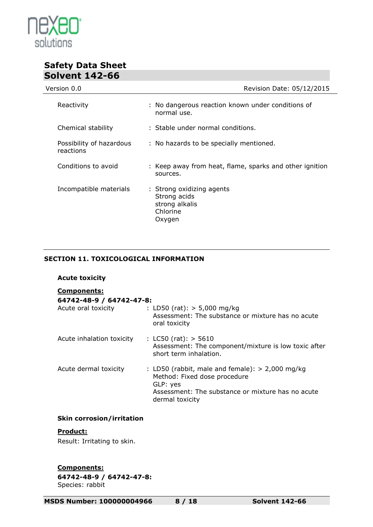

| Version 0.0                           | Revision Date: 05/12/2015                                                         |
|---------------------------------------|-----------------------------------------------------------------------------------|
| Reactivity                            | : No dangerous reaction known under conditions of<br>normal use.                  |
| Chemical stability                    | : Stable under normal conditions.                                                 |
| Possibility of hazardous<br>reactions | : No hazards to be specially mentioned.                                           |
| Conditions to avoid                   | : Keep away from heat, flame, sparks and other ignition<br>sources.               |
| Incompatible materials                | : Strong oxidizing agents<br>Strong acids<br>strong alkalis<br>Chlorine<br>Oxygen |

#### **SECTION 11. TOXICOLOGICAL INFORMATION**

# **Acute toxicity**

| 64742-48-9 / 64742-47-8:  |                                                                                                                                                                       |
|---------------------------|-----------------------------------------------------------------------------------------------------------------------------------------------------------------------|
| Acute oral toxicity       | : LD50 (rat): $> 5,000$ mg/kg<br>Assessment: The substance or mixture has no acute<br>oral toxicity                                                                   |
| Acute inhalation toxicity | : $L C50$ (rat): $> 5610$<br>Assessment: The component/mixture is low toxic after<br>short term inhalation.                                                           |
| Acute dermal toxicity     | : LD50 (rabbit, male and female): $> 2,000$ mg/kg<br>Method: Fixed dose procedure<br>GLP: yes<br>Assessment: The substance or mixture has no acute<br>dermal toxicity |

#### **Skin corrosion/irritation**

#### **Product:**

Result: Irritating to skin.

**Components:**

**64742-48-9 / 64742-47-8:** Species: rabbit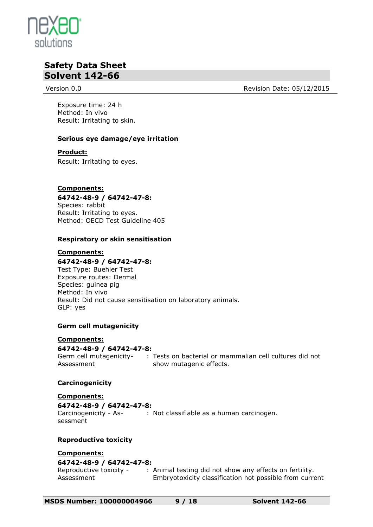

Version 0.0 **Review Contract Contract Contract Contract Contract Contract Contract Contract Contract Contract Contract Contract Contract Contract Contract Contract Contract Contract Contract Contract Contract Contract Cont** 

Exposure time: 24 h Method: In vivo Result: Irritating to skin.

#### **Serious eye damage/eye irritation**

#### **Product:**

Result: Irritating to eyes.

#### **Components:**

**64742-48-9 / 64742-47-8:** Species: rabbit Result: Irritating to eyes. Method: OECD Test Guideline 405

#### **Respiratory or skin sensitisation**

#### **Components:**

#### **64742-48-9 / 64742-47-8:** Test Type: Buehler Test

Exposure routes: Dermal Species: guinea pig Method: In vivo Result: Did not cause sensitisation on laboratory animals. GLP: yes

#### **Germ cell mutagenicity**

#### **Components:**

Assessment

**64742-48-9 / 64742-47-8:**

Germ cell mutagenicity-: Tests on bacterial or mammalian cell cultures did not show mutagenic effects.

#### **Carcinogenicity**

#### **Components:**

**64742-48-9 / 64742-47-8:**

Carcinogenicity - Assessment : Not classifiable as a human carcinogen.

#### **Reproductive toxicity**

#### **Components:**

#### **64742-48-9 / 64742-47-8:**

Reproductive toxicity - Assessment : Animal testing did not show any effects on fertility. Embryotoxicity classification not possible from current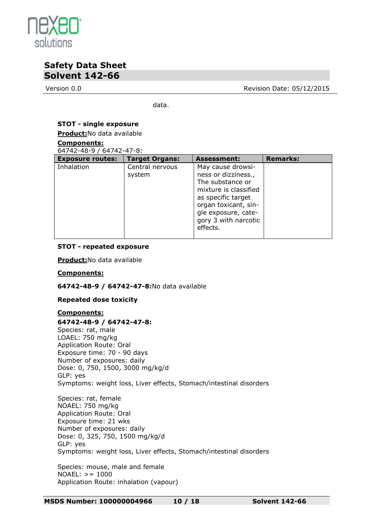

Version 0.0 **Review Contract Contract Contract Contract Contract Contract Contract Contract Contract Contract Contract Contract Contract Contract Contract Contract Contract Contract Contract Contract Contract Contract Cont** 

data.

#### **STOT - single exposure**

**Product:**No data available

#### **Components:**

64742-48-9 / 64742-47-8:

| <b>Exposure routes:</b> | <b>Target Organs:</b>     | <b>Assessment:</b>                                                                                                                                                                             | <b>Remarks:</b> |
|-------------------------|---------------------------|------------------------------------------------------------------------------------------------------------------------------------------------------------------------------------------------|-----------------|
| Inhalation              | Central nervous<br>system | May cause drowsi-<br>ness or dizziness.,<br>The substance or<br>mixture is classified<br>as specific target<br>organ toxicant, sin-<br>gle exposure, cate-<br>gory 3 with narcotic<br>effects. |                 |

#### **STOT - repeated exposure**

**Product:**No data available

#### **Components:**

**64742-48-9 / 64742-47-8:**No data available

#### **Repeated dose toxicity**

#### **Components:**

**64742-48-9 / 64742-47-8:** Species: rat, male LOAEL: 750 mg/kg Application Route: Oral Exposure time: 70 - 90 days Number of exposures: daily Dose: 0, 750, 1500, 3000 mg/kg/d GLP: yes Symptoms: weight loss, Liver effects, Stomach/intestinal disorders

Species: rat, female NOAEL: 750 mg/kg Application Route: Oral Exposure time: 21 wks Number of exposures: daily Dose: 0, 325, 750, 1500 mg/kg/d GLP: yes Symptoms: weight loss, Liver effects, Stomach/intestinal disorders

Species: mouse, male and female NOAEL: >= 1000 Application Route: inhalation (vapour)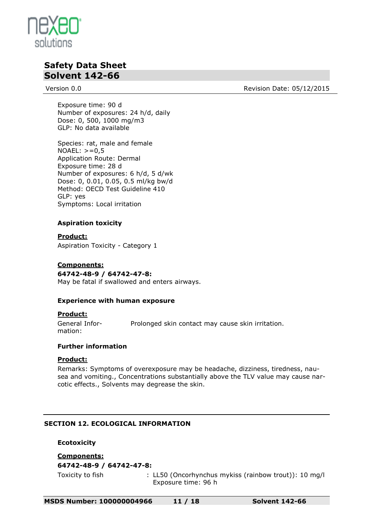

Version 0.0 **Review Contract Contract Contract Contract Contract Contract Contract Contract Contract Contract Contract Contract Contract Contract Contract Contract Contract Contract Contract Contract Contract Contract Cont** 

Exposure time: 90 d Number of exposures: 24 h/d, daily Dose: 0, 500, 1000 mg/m3 GLP: No data available

Species: rat, male and female  $NOAEL: > = 0.5$ Application Route: Dermal Exposure time: 28 d Number of exposures: 6 h/d, 5 d/wk Dose: 0, 0.01, 0.05, 0.5 ml/kg bw/d Method: OECD Test Guideline 410 GLP: yes Symptoms: Local irritation

#### **Aspiration toxicity**

**Product:** Aspiration Toxicity - Category 1

#### **Components:**

**64742-48-9 / 64742-47-8:** May be fatal if swallowed and enters airways.

#### **Experience with human exposure**

#### **Product:**

General Information: Prolonged skin contact may cause skin irritation.

#### **Further information**

#### **Product:**

Remarks: Symptoms of overexposure may be headache, dizziness, tiredness, nausea and vomiting., Concentrations substantially above the TLV value may cause narcotic effects., Solvents may degrease the skin.

#### **SECTION 12. ECOLOGICAL INFORMATION**

#### **Ecotoxicity**

**Components: 64742-48-9 / 64742-47-8:**

Toxicity to fish : LL50 (Oncorhynchus mykiss (rainbow trout)): 10 mg/l Exposure time: 96 h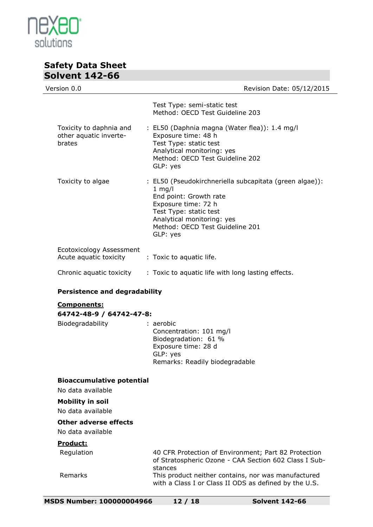

| JUIVCIIL 174-UU                                             |                                                                                                                                                                                                                             |
|-------------------------------------------------------------|-----------------------------------------------------------------------------------------------------------------------------------------------------------------------------------------------------------------------------|
| Version 0.0                                                 | Revision Date: 05/12/2015                                                                                                                                                                                                   |
|                                                             | Test Type: semi-static test<br>Method: OECD Test Guideline 203                                                                                                                                                              |
| Toxicity to daphnia and<br>other aquatic inverte-<br>brates | : EL50 (Daphnia magna (Water flea)): 1.4 mg/l<br>Exposure time: 48 h<br>Test Type: static test<br>Analytical monitoring: yes<br>Method: OECD Test Guideline 202<br>GLP: yes                                                 |
| Toxicity to algae                                           | : EL50 (Pseudokirchneriella subcapitata (green algae)):<br>$1$ mg/l<br>End point: Growth rate<br>Exposure time: 72 h<br>Test Type: static test<br>Analytical monitoring: yes<br>Method: OECD Test Guideline 201<br>GLP: yes |
| Ecotoxicology Assessment<br>Acute aquatic toxicity          | : Toxic to aquatic life.                                                                                                                                                                                                    |
| Chronic aquatic toxicity                                    | : Toxic to aquatic life with long lasting effects.                                                                                                                                                                          |
| <b>Persistence and degradability</b>                        |                                                                                                                                                                                                                             |
| <b>Components:</b><br>64742-48-9 / 64742-47-8:              |                                                                                                                                                                                                                             |
| Biodegradability                                            | : aerobic<br>Concentration: 101 mg/l<br>Biodegradation: 61 %<br>Exposure time: 28 d<br>GLP: yes<br>Remarks: Readily biodegradable                                                                                           |
| <b>Bioaccumulative potential</b><br>No data available       |                                                                                                                                                                                                                             |
| <b>Mobility in soil</b><br>No data available                |                                                                                                                                                                                                                             |

#### **Other adverse effects**

No data available

#### **Product:**

Regulation 40 CFR Protection of Environment; Part 82 Protection of Stratospheric Ozone - CAA Section 602 Class I Substances Remarks This product neither contains, nor was manufactured with a Class I or Class II ODS as defined by the U.S.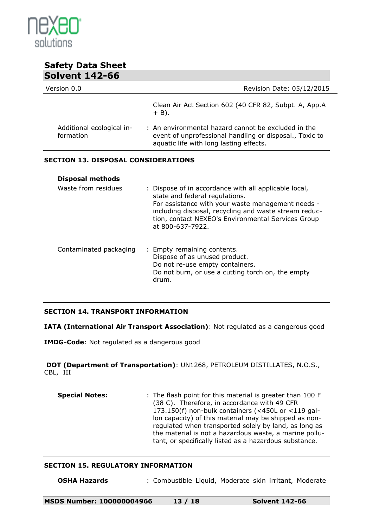

| Revision Date: 05/12/2015                                                                                                                                                                                                                                                       |  |  |  |  |
|---------------------------------------------------------------------------------------------------------------------------------------------------------------------------------------------------------------------------------------------------------------------------------|--|--|--|--|
| Clean Air Act Section 602 (40 CFR 82, Subpt. A, App.A<br>$+$ B).                                                                                                                                                                                                                |  |  |  |  |
| : An environmental hazard cannot be excluded in the<br>event of unprofessional handling or disposal., Toxic to<br>aquatic life with long lasting effects.                                                                                                                       |  |  |  |  |
| <b>SECTION 13. DISPOSAL CONSIDERATIONS</b>                                                                                                                                                                                                                                      |  |  |  |  |
|                                                                                                                                                                                                                                                                                 |  |  |  |  |
| : Dispose of in accordance with all applicable local,<br>state and federal regulations.<br>For assistance with your waste management needs -<br>including disposal, recycling and waste stream reduc-<br>tion, contact NEXEO's Environmental Services Group<br>at 800-637-7922. |  |  |  |  |
|                                                                                                                                                                                                                                                                                 |  |  |  |  |

#### **SECTION 14. TRANSPORT INFORMATION**

**IATA (International Air Transport Association)**: Not regulated as a dangerous good

**IMDG-Code**: Not regulated as a dangerous good

**DOT (Department of Transportation)**: UN1268, PETROLEUM DISTILLATES, N.O.S., CBL, III

**Special Notes:** : The flash point for this material is greater than 100 F (38 C). Therefore, in accordance with 49 CFR 173.150(f) non-bulk containers (<450L or <119 gallon capacity) of this material may be shipped as nonregulated when transported solely by land, as long as the material is not a hazardous waste, a marine pollutant, or specifically listed as a hazardous substance.

#### **SECTION 15. REGULATORY INFORMATION**

**OSHA Hazards** : Combustible Liquid, Moderate skin irritant, Moderate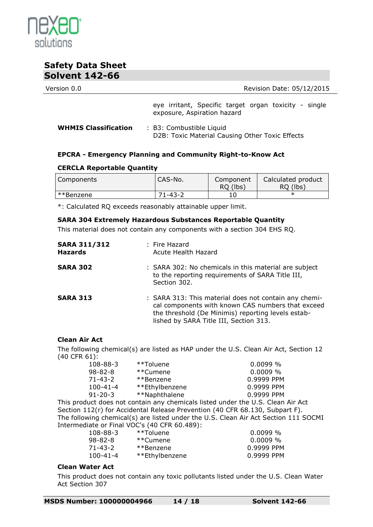

| Version 0.0 | Revision Date: 05/12/2015                                                            |
|-------------|--------------------------------------------------------------------------------------|
|             | eye irritant, Specific target organ toxicity - single<br>exposure, Aspiration hazard |
|             |                                                                                      |

**WHMIS Classification** : B3: Combustible Liquid D2B: Toxic Material Causing Other Toxic Effects

#### **EPCRA - Emergency Planning and Community Right-to-Know Act**

#### **CERCLA Reportable Quantity**

| <b>Components</b>     | CAS-No.       | Component<br>RQ (lbs) | Calculated product<br>RQ (lbs) |
|-----------------------|---------------|-----------------------|--------------------------------|
| <sup>**</sup> Benzene | $71 - 43 - 2$ |                       |                                |

\*: Calculated RQ exceeds reasonably attainable upper limit.

#### **SARA 304 Extremely Hazardous Substances Reportable Quantity**

This material does not contain any components with a section 304 EHS RQ.

| <b>SARA 311/312</b><br><b>Hazards</b> | : Fire Hazard<br>Acute Health Hazard                                                                                                                                                                       |
|---------------------------------------|------------------------------------------------------------------------------------------------------------------------------------------------------------------------------------------------------------|
| <b>SARA 302</b>                       | : SARA 302: No chemicals in this material are subject<br>to the reporting requirements of SARA Title III,<br>Section 302.                                                                                  |
| <b>SARA 313</b>                       | : SARA 313: This material does not contain any chemi-<br>cal components with known CAS numbers that exceed<br>the threshold (De Minimis) reporting levels estab-<br>lished by SARA Title III, Section 313. |

#### **Clean Air Act**

The following chemical(s) are listed as HAP under the U.S. Clean Air Act, Section 12 (40 CFR 61):

| **Toluene      | $0.0099\%$ |
|----------------|------------|
| **Cumene       | $0.0009\%$ |
| **Benzene      | 0.9999 PPM |
| **Ethylbenzene | 0.9999 PPM |
| **Naphthalene  | 0.9999 PPM |
|                |            |

This product does not contain any chemicals listed under the U.S. Clean Air Act Section 112(r) for Accidental Release Prevention (40 CFR 68.130, Subpart F). The following chemical(s) are listed under the U.S. Clean Air Act Section 111 SOCMI Intermediate or Final VOC's (40 CFR 60.489):

| 108-88-3 | **Toluene      | $0.0099\%$ |
|----------|----------------|------------|
| 98-82-8  | **Cumene       | $0.0009\%$ |
| 71-43-2  | **Benzene      | 0.9999 PPM |
| 100-41-4 | **Ethylbenzene | 0.9999 PPM |

#### **Clean Water Act**

This product does not contain any toxic pollutants listed under the U.S. Clean Water Act Section 307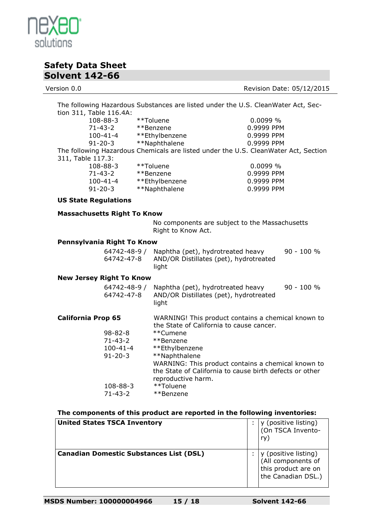

Version 0.0 **Version 0.0** Revision Date: 05/12/2015

| The following Hazardous Substances are listed under the U.S. CleanWater Act, Sec-                                                                                            |               |                                                                                                                                                                                                                                                                                                                |                                                           |                                                    |                                                    |                                           |
|------------------------------------------------------------------------------------------------------------------------------------------------------------------------------|---------------|----------------------------------------------------------------------------------------------------------------------------------------------------------------------------------------------------------------------------------------------------------------------------------------------------------------|-----------------------------------------------------------|----------------------------------------------------|----------------------------------------------------|-------------------------------------------|
| tion 311, Table 116.4A:<br>108-88-3<br>$71 - 43 - 2$<br>$100 - 41 - 4$<br>$91 - 20 - 3$<br>311, Table 117.3:<br>108-88-3<br>$71 - 43 - 2$<br>$100 - 41 - 4$<br>$91 - 20 - 3$ |               | **Toluene<br>**Benzene<br>**Ethylbenzene<br>**Naphthalene<br>The following Hazardous Chemicals are listed under the U.S. CleanWater Act, Section                                                                                                                                                               |                                                           | 0.0099 %<br>0.9999 PPM<br>0.9999 PPM<br>0.9999 PPM |                                                    |                                           |
|                                                                                                                                                                              |               |                                                                                                                                                                                                                                                                                                                | **Toluene<br>**Benzene<br>**Ethylbenzene<br>**Naphthalene |                                                    | 0.0099 %<br>0.9999 PPM<br>0.9999 PPM<br>0.9999 PPM |                                           |
| <b>US State Regulations</b>                                                                                                                                                  |               |                                                                                                                                                                                                                                                                                                                |                                                           |                                                    |                                                    |                                           |
| <b>Massachusetts Right To Know</b>                                                                                                                                           |               |                                                                                                                                                                                                                                                                                                                |                                                           |                                                    |                                                    |                                           |
|                                                                                                                                                                              |               | No components are subject to the Massachusetts<br>Right to Know Act.                                                                                                                                                                                                                                           |                                                           |                                                    |                                                    |                                           |
| Pennsylvania Right To Know                                                                                                                                                   |               |                                                                                                                                                                                                                                                                                                                |                                                           |                                                    |                                                    |                                           |
| 64742-48-9 /<br>64742-47-8                                                                                                                                                   |               | Naphtha (pet), hydrotreated heavy<br>90 - 100 %<br>AND/OR Distillates (pet), hydrotreated<br>light                                                                                                                                                                                                             |                                                           |                                                    |                                                    |                                           |
| <b>New Jersey Right To Know</b>                                                                                                                                              |               |                                                                                                                                                                                                                                                                                                                |                                                           |                                                    |                                                    |                                           |
| 64742-48-9 /<br>64742-47-8                                                                                                                                                   |               | Naphtha (pet), hydrotreated heavy<br>90 - 100 %<br>AND/OR Distillates (pet), hydrotreated<br>light                                                                                                                                                                                                             |                                                           |                                                    |                                                    |                                           |
| <b>California Prop 65</b><br>$98 - 82 - 8$<br>$71 - 43 - 2$<br>$100 - 41 - 4$<br>$91 - 20 - 3$<br>108-88-3                                                                   |               | WARNING! This product contains a chemical known to<br>the State of California to cause cancer.<br>**Cumene<br>**Benzene<br>**Ethylbenzene<br>**Naphthalene<br>WARNING: This product contains a chemical known to<br>the State of California to cause birth defects or other<br>reproductive harm.<br>**Toluene |                                                           |                                                    |                                                    |                                           |
|                                                                                                                                                                              | $71 - 43 - 2$ |                                                                                                                                                                                                                                                                                                                | **Benzene                                                 |                                                    |                                                    |                                           |
| The components of this product are reported in the following inventories:                                                                                                    |               |                                                                                                                                                                                                                                                                                                                |                                                           |                                                    |                                                    |                                           |
| <b>United States TSCA Inventory</b>                                                                                                                                          |               |                                                                                                                                                                                                                                                                                                                |                                                           |                                                    | ry)                                                | y (positive listing)<br>(On TSCA Invento- |

**Canadian Domestic Substances List (DSL)** :

y (positive listing)<br>(All components of this product are on the Canadian DSL.)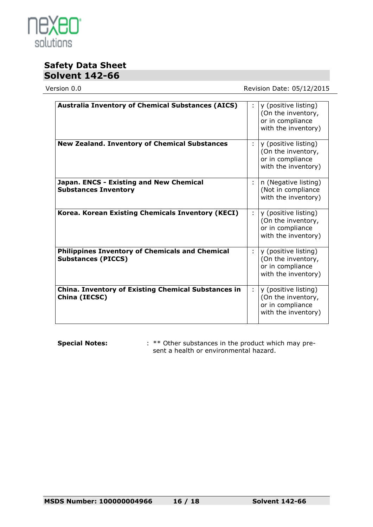

Version 0.0 **Version 0.0** Revision Date: 05/12/2015

| <b>Australia Inventory of Chemical Substances (AICS)</b>                            |   | y (positive listing)<br>(On the inventory,<br>or in compliance<br>with the inventory) |
|-------------------------------------------------------------------------------------|---|---------------------------------------------------------------------------------------|
| <b>New Zealand. Inventory of Chemical Substances</b>                                | ÷ | y (positive listing)<br>(On the inventory,<br>or in compliance<br>with the inventory) |
| Japan. ENCS - Existing and New Chemical<br><b>Substances Inventory</b>              |   | n (Negative listing)<br>(Not in compliance<br>with the inventory)                     |
| Korea. Korean Existing Chemicals Inventory (KECI)                                   | ÷ | y (positive listing)<br>(On the inventory,<br>or in compliance<br>with the inventory) |
| <b>Philippines Inventory of Chemicals and Chemical</b><br><b>Substances (PICCS)</b> | ÷ | y (positive listing)<br>(On the inventory,<br>or in compliance<br>with the inventory) |
| <b>China. Inventory of Existing Chemical Substances in</b><br>China (IECSC)         | ÷ | y (positive listing)<br>(On the inventory,<br>or in compliance<br>with the inventory) |

**Special Notes:** : \*\* Other substances in the product which may present a health or environmental hazard.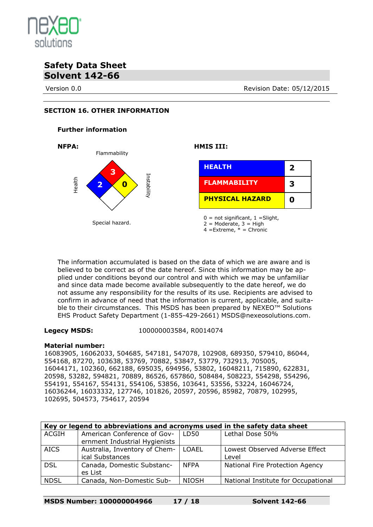

Version 0.0 **Review Contract Contract Contract Contract Contract Contract Contract Contract Contract Contract Contract Contract Contract Contract Contract Contract Contract Contract Contract Contract Contract Contract Cont** 

#### **SECTION 16. OTHER INFORMATION**

#### **Further information**



The information accumulated is based on the data of which we are aware and is believed to be correct as of the date hereof. Since this information may be applied under conditions beyond our control and with which we may be unfamiliar and since data made become available subsequently to the date hereof, we do not assume any responsibility for the results of its use. Recipients are advised to confirm in advance of need that the information is current, applicable, and suitable to their circumstances. This MSDS has been prepared by NEXEO™ Solutions EHS Product Safety Department (1-855-429-2661) MSDS@nexeosolutions.com.

**Legecy MSDS:** 100000003584, R0014074

#### **Material number:**

16083905, 16062033, 504685, 547181, 547078, 102908, 689350, 579410, 86044, 554168, 87270, 103638, 53769, 70882, 53847, 53779, 732913, 705005, 16044171, 102360, 662188, 695035, 694956, 53802, 16048211, 715890, 622831, 20598, 53282, 594821, 70889, 86526, 657860, 508484, 508223, 554298, 554296, 554191, 554167, 554131, 554106, 53856, 103641, 53556, 53224, 16046724, 16036244, 16033332, 127746, 101826, 20597, 20596, 85982, 70879, 102995, 102695, 504573, 754617, 20594

| Key or legend to abbreviations and acronyms used in the safety data sheet |                                                              |              |                                     |  |  |  |
|---------------------------------------------------------------------------|--------------------------------------------------------------|--------------|-------------------------------------|--|--|--|
| ACGIH                                                                     | American Conference of Gov-<br>ernment Industrial Hygienists | LD50         | Lethal Dose 50%                     |  |  |  |
| <b>AICS</b>                                                               | Australia, Inventory of Chem-                                | LOAEL        | Lowest Observed Adverse Effect      |  |  |  |
|                                                                           | ical Substances                                              |              | Level                               |  |  |  |
| <b>DSL</b>                                                                | Canada, Domestic Substanc-<br>es List                        | <b>NFPA</b>  | National Fire Protection Agency     |  |  |  |
| <b>NDSL</b>                                                               | Canada, Non-Domestic Sub-                                    | <b>NIOSH</b> | National Institute for Occupational |  |  |  |